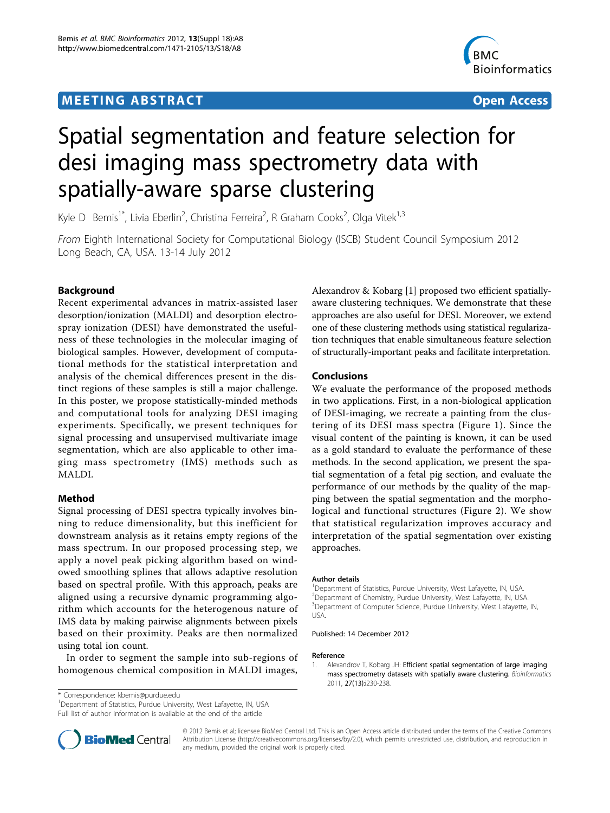# **MEETING ABSTRACT ACCESS**



# Spatial segmentation and feature selection for desi imaging mass spectrometry data with spatially-aware sparse clustering

Kyle D Bemis<sup>1\*</sup>, Livia Eberlin<sup>2</sup>, Christina Ferreira<sup>2</sup>, R Graham Cooks<sup>2</sup>, Olga Vitek<sup>1,3</sup>

From Eighth International Society for Computational Biology (ISCB) Student Council Symposium 2012 Long Beach, CA, USA. 13-14 July 2012

# Background

Recent experimental advances in matrix-assisted laser desorption/ionization (MALDI) and desorption electrospray ionization (DESI) have demonstrated the usefulness of these technologies in the molecular imaging of biological samples. However, development of computational methods for the statistical interpretation and analysis of the chemical differences present in the distinct regions of these samples is still a major challenge. In this poster, we propose statistically-minded methods and computational tools for analyzing DESI imaging experiments. Specifically, we present techniques for signal processing and unsupervised multivariate image segmentation, which are also applicable to other imaging mass spectrometry (IMS) methods such as MALDI.

## Method

Signal processing of DESI spectra typically involves binning to reduce dimensionality, but this inefficient for downstream analysis as it retains empty regions of the mass spectrum. In our proposed processing step, we apply a novel peak picking algorithm based on windowed smoothing splines that allows adaptive resolution based on spectral profile. With this approach, peaks are aligned using a recursive dynamic programming algorithm which accounts for the heterogenous nature of IMS data by making pairwise alignments between pixels based on their proximity. Peaks are then normalized using total ion count.

In order to segment the sample into sub-regions of homogenous chemical composition in MALDI images,

Alexandrov & Kobarg [1] proposed two efficient spatiallyaware clustering techniques. We demonstrate that these approaches are also useful for DESI. Moreover, we extend one of these clustering methods using statistical regularization techniques that enable simultaneous feature selection of structurally-important peaks and facilitate interpretation.

## Conclusions

We evaluate the performance of the proposed methods in two applications. First, in a non-biological application of DESI-imaging, we recreate a painting from the clustering of its DESI mass spectra (Figure [1](#page-1-0)). Since the visual content of the painting is known, it can be used as a gold standard to evaluate the performance of these methods. In the second application, we present the spatial segmentation of a fetal pig section, and evaluate the performance of our methods by the quality of the mapping between the spatial segmentation and the morphological and functional structures (Figure [2](#page-2-0)). We show that statistical regularization improves accuracy and interpretation of the spatial segmentation over existing approaches.

#### Author details

<sup>1</sup>Department of Statistics, Purdue University, West Lafayette, IN, USA 2 Department of Chemistry, Purdue University, West Lafayette, IN, USA. <sup>3</sup>Department of Computer Science, Purdue University, West Lafayette, IN, USA.

Published: 14 December 2012

#### Reference

1. Alexandrov T, Kobarg JH: [Efficient spatial segmentation of large imaging](http://www.ncbi.nlm.nih.gov/pubmed/21685075?dopt=Abstract) [mass spectrometry datasets with spatially aware clustering.](http://www.ncbi.nlm.nih.gov/pubmed/21685075?dopt=Abstract) Bioinformatics 2011, 27(13):i230-238.

<sup>1</sup>Department of Statistics, Purdue University, West Lafayette, IN, USA Full list of author information is available at the end of the article



© 2012 Bemis et al; licensee BioMed Central Ltd. This is an Open Access article distributed under the terms of the Creative Commons Attribution License [\(http://creativecommons.org/licenses/by/2.0](http://creativecommons.org/licenses/by/2.0)), which permits unrestricted use, distribution, and reproduction in any medium, provided the original work is properly cited.

<sup>\*</sup> Correspondence: [kbemis@purdue.edu](mailto:kbemis@purdue.edu)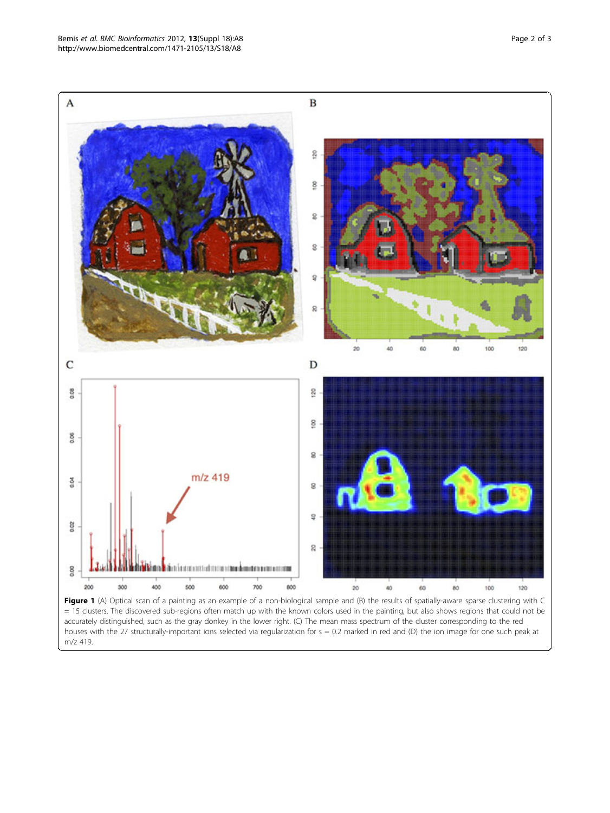<span id="page-1-0"></span>

= 15 clusters. The discovered sub-regions often match up with the known colors used in the painting, but also shows regions that could not be accurately distinguished, such as the gray donkey in the lower right. (C) The mean mass spectrum of the cluster corresponding to the red houses with the 27 structurally-important ions selected via regularization for s = 0.2 marked in red and (D) the ion image for one such peak at m/z 419.